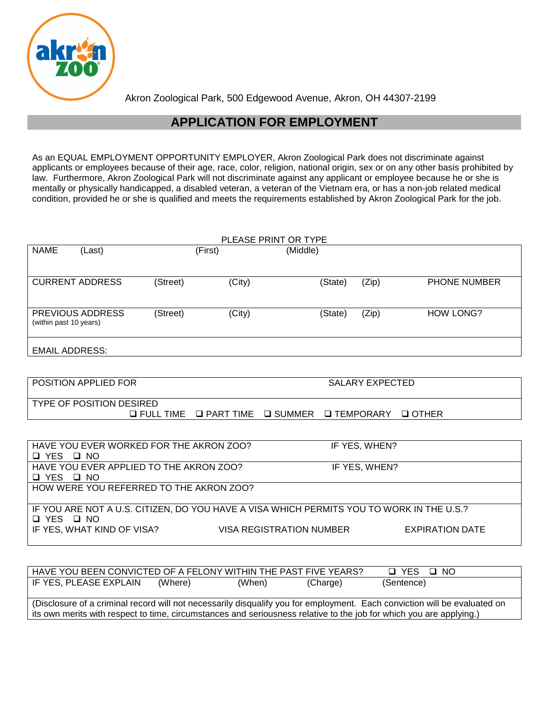

Akron Zoological Park, 500 Edgewood Avenue, Akron, OH 44307-2199

# **APPLICATION FOR EMPLOYMENT**

As an EQUAL EMPLOYMENT OPPORTUNITY EMPLOYER, Akron Zoological Park does not discriminate against applicants or employees because of their age, race, color, religion, national origin, sex or on any other basis prohibited by law. Furthermore, Akron Zoological Park will not discriminate against any applicant or employee because he or she is mentally or physically handicapped, a disabled veteran, a veteran of the Vietnam era, or has a non-job related medical condition, provided he or she is qualified and meets the requirements established by Akron Zoological Park for the job.

|                                         |                                 |                                                                 |                  | PLEASE PRINT OR TYPE            |          |                        |                                                                                          |
|-----------------------------------------|---------------------------------|-----------------------------------------------------------------|------------------|---------------------------------|----------|------------------------|------------------------------------------------------------------------------------------|
| <b>NAME</b>                             | (Last)                          |                                                                 | (First)          | (Middle)                        |          |                        |                                                                                          |
|                                         |                                 |                                                                 |                  |                                 |          |                        |                                                                                          |
|                                         | <b>CURRENT ADDRESS</b>          | (Street)                                                        | (City)           |                                 | (State)  | (Zip)                  | <b>PHONE NUMBER</b>                                                                      |
|                                         |                                 |                                                                 |                  |                                 |          |                        |                                                                                          |
|                                         | PREVIOUS ADDRESS                |                                                                 |                  |                                 |          |                        |                                                                                          |
| (within past 10 years)                  |                                 | (Street)                                                        | (City)           |                                 | (State)  | (Zip)                  | <b>HOW LONG?</b>                                                                         |
|                                         |                                 |                                                                 |                  |                                 |          |                        |                                                                                          |
| <b>EMAIL ADDRESS:</b>                   |                                 |                                                                 |                  |                                 |          |                        |                                                                                          |
|                                         |                                 |                                                                 |                  |                                 |          |                        |                                                                                          |
|                                         | POSITION APPLIED FOR            |                                                                 |                  |                                 |          | <b>SALARY EXPECTED</b> |                                                                                          |
|                                         |                                 |                                                                 |                  |                                 |          |                        |                                                                                          |
|                                         | <b>TYPE OF POSITION DESIRED</b> | $\Box$ FULL TIME                                                | $\Box$ PART TIME | <b>□ SUMMER</b>                 |          | <b>□ TEMPORARY</b>     | $\Box$ OTHER                                                                             |
|                                         |                                 |                                                                 |                  |                                 |          |                        |                                                                                          |
|                                         |                                 |                                                                 |                  |                                 |          |                        |                                                                                          |
|                                         |                                 | HAVE YOU EVER WORKED FOR THE AKRON ZOO?                         |                  |                                 |          | IF YES, WHEN?          |                                                                                          |
| U YES U NO                              |                                 |                                                                 |                  |                                 |          |                        |                                                                                          |
| □ YES □ NO                              |                                 | HAVE YOU EVER APPLIED TO THE AKRON ZOO?                         |                  |                                 |          | IF YES, WHEN?          |                                                                                          |
| HOW WERE YOU REFERRED TO THE AKRON ZOO? |                                 |                                                                 |                  |                                 |          |                        |                                                                                          |
|                                         |                                 |                                                                 |                  |                                 |          |                        |                                                                                          |
|                                         |                                 |                                                                 |                  |                                 |          |                        | IF YOU ARE NOT A U.S. CITIZEN, DO YOU HAVE A VISA WHICH PERMITS YOU TO WORK IN THE U.S.? |
| O YES O NO                              |                                 |                                                                 |                  |                                 |          |                        |                                                                                          |
|                                         | IF YES, WHAT KIND OF VISA?      |                                                                 |                  | <b>VISA REGISTRATION NUMBER</b> |          |                        | <b>EXPIRATION DATE</b>                                                                   |
|                                         |                                 |                                                                 |                  |                                 |          |                        |                                                                                          |
|                                         |                                 |                                                                 |                  |                                 |          |                        |                                                                                          |
|                                         |                                 | HAVE YOU BEEN CONVICTED OF A FELONY WITHIN THE PAST FIVE YEARS? |                  |                                 |          |                        | <b>Q</b> YES<br>$\square$ NO                                                             |
|                                         | IF YES, PLEASE EXPLAIN          | (Where)                                                         | (When)           |                                 | (Charge) |                        | (Sentence)                                                                               |

(Disclosure of a criminal record will not necessarily disqualify you for employment. Each conviction will be evaluated on its own merits with respect to time, circumstances and seriousness relative to the job for which you are applying.)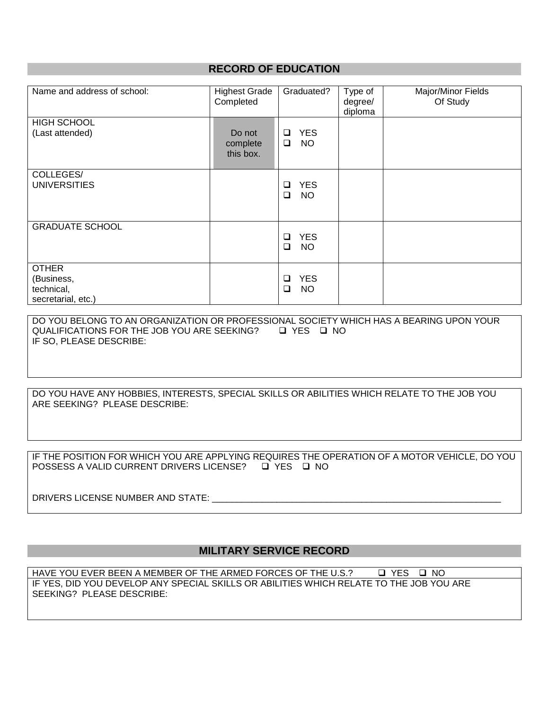## **RECORD OF EDUCATION**

| Name and address of school:                                    | <b>Highest Grade</b><br>Completed | Graduated?                                  | Type of<br>degree/<br>diploma | Major/Minor Fields<br>Of Study |
|----------------------------------------------------------------|-----------------------------------|---------------------------------------------|-------------------------------|--------------------------------|
| <b>HIGH SCHOOL</b><br>(Last attended)                          | Do not<br>complete<br>this box.   | <b>YES</b><br>$\Box$<br>$\Box$<br><b>NO</b> |                               |                                |
| COLLEGES/<br><b>UNIVERSITIES</b>                               |                                   | <b>YES</b><br>❏<br><b>NO</b><br>$\Box$      |                               |                                |
| <b>GRADUATE SCHOOL</b>                                         |                                   | <b>YES</b><br>❏<br><b>NO</b><br>$\Box$      |                               |                                |
| <b>OTHER</b><br>(Business,<br>technical,<br>secretarial, etc.) |                                   | <b>YES</b><br><b>□</b><br>❏<br><b>NO</b>    |                               |                                |

DO YOU BELONG TO AN ORGANIZATION OR PROFESSIONAL SOCIETY WHICH HAS A BEARING UPON YOUR QUALIFICATIONS FOR THE JOB YOU ARE SEEKING? U YES U NO IF SO, PLEASE DESCRIBE:

DO YOU HAVE ANY HOBBIES, INTERESTS, SPECIAL SKILLS OR ABILITIES WHICH RELATE TO THE JOB YOU ARE SEEKING? PLEASE DESCRIBE:

IF THE POSITION FOR WHICH YOU ARE APPLYING REQUIRES THE OPERATION OF A MOTOR VEHICLE, DO YOU POSSESS A VALID CURRENT DRIVERS LICENSE? □ YES □ NO

DRIVERS LICENSE NUMBER AND STATE: \_\_\_\_\_\_\_\_\_\_

### **MILITARY SERVICE RECORD**

HAVE YOU EVER BEEN A MEMBER OF THE ARMED FORCES OF THE U.S.?  $\Box$  YES  $\Box$  NO IF YES, DID YOU DEVELOP ANY SPECIAL SKILLS OR ABILITIES WHICH RELATE TO THE JOB YOU ARE SEEKING? PLEASE DESCRIBE: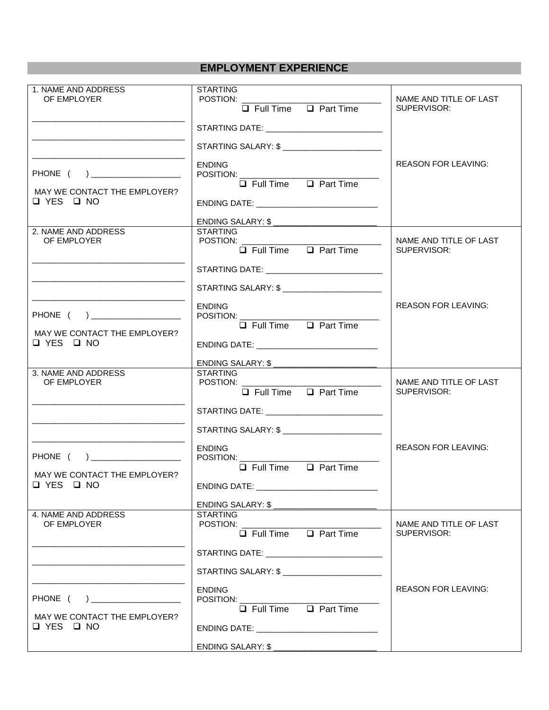# **EMPLOYMENT EXPERIENCE**

| 1. NAME AND ADDRESS<br>OF EMPLOYER                   | <b>STARTING</b><br>POSTION: New York State State State State State State State State State State State State State State State State State State State State State State State State State State State State State State State State State State | NAME AND TITLE OF LAST<br>SUPERVISOR: |  |
|------------------------------------------------------|--------------------------------------------------------------------------------------------------------------------------------------------------------------------------------------------------------------------------------------------------|---------------------------------------|--|
|                                                      | $\Box$ Full Time $\Box$ Part Time                                                                                                                                                                                                                |                                       |  |
|                                                      |                                                                                                                                                                                                                                                  |                                       |  |
|                                                      | STARTING SALARY: \$ __________________________                                                                                                                                                                                                   |                                       |  |
|                                                      | <b>ENDING</b>                                                                                                                                                                                                                                    | <b>REASON FOR LEAVING:</b>            |  |
| PHONE ( ) ___________________                        | $\Box$ Full Time $\Box$ Part Time                                                                                                                                                                                                                |                                       |  |
| MAY WE CONTACT THE EMPLOYER?<br>$\Box$ YES $\Box$ NO |                                                                                                                                                                                                                                                  |                                       |  |
|                                                      | ENDING DATE: _______________________________                                                                                                                                                                                                     |                                       |  |
| 2. NAME AND ADDRESS                                  | ENDING SALARY: \$ ____________________________<br><b>STARTING</b>                                                                                                                                                                                |                                       |  |
| OF EMPLOYER                                          | POSTION:                                                                                                                                                                                                                                         | NAME AND TITLE OF LAST                |  |
|                                                      | $\Box$ Full Time $\Box$ Part Time                                                                                                                                                                                                                | SUPERVISOR:                           |  |
|                                                      | STARTING DATE: ________________________________                                                                                                                                                                                                  |                                       |  |
|                                                      |                                                                                                                                                                                                                                                  |                                       |  |
|                                                      | <b>ENDING</b>                                                                                                                                                                                                                                    | <b>REASON FOR LEAVING:</b>            |  |
| PHONE ( ) _________________                          | POSITION: __________<br>$\Box$ Full Time $\Box$ Part Time                                                                                                                                                                                        |                                       |  |
| MAY WE CONTACT THE EMPLOYER?<br><b>□ YES □ NO</b>    |                                                                                                                                                                                                                                                  |                                       |  |
|                                                      | ENDING DATE: ________________________________                                                                                                                                                                                                    |                                       |  |
| 3. NAME AND ADDRESS                                  | ENDING SALARY: \$ ________________________<br><b>STARTING</b>                                                                                                                                                                                    |                                       |  |
| OF EMPLOYER                                          | POSTION:<br>$\Box$ Full Time $\Box$ Part Time                                                                                                                                                                                                    | NAME AND TITLE OF LAST<br>SUPERVISOR: |  |
|                                                      |                                                                                                                                                                                                                                                  |                                       |  |
|                                                      |                                                                                                                                                                                                                                                  |                                       |  |
|                                                      |                                                                                                                                                                                                                                                  |                                       |  |
|                                                      | STARTING SALARY: \$ _________________________                                                                                                                                                                                                    |                                       |  |
|                                                      | <b>ENDING</b>                                                                                                                                                                                                                                    | <b>REASON FOR LEAVING:</b>            |  |
| PHONE ( )                                            | POSITION: __________                                                                                                                                                                                                                             |                                       |  |
| MAY WE CONTACT THE EMPLOYER?                         | $\Box$ Full Time $\Box$ Part Time                                                                                                                                                                                                                |                                       |  |
| $\Box$ YES $\Box$ NO                                 |                                                                                                                                                                                                                                                  |                                       |  |
|                                                      | ENDING SALARY: \$ ___________________________                                                                                                                                                                                                    |                                       |  |
| 4. NAME AND ADDRESS<br>OF EMPLOYER                   | <b>STARTING</b>                                                                                                                                                                                                                                  | NAME AND TITLE OF LAST                |  |
|                                                      | $\Box$ Full Time $\Box$ Part Time                                                                                                                                                                                                                | SUPERVISOR:                           |  |
|                                                      | STARTING DATE: ______________________________                                                                                                                                                                                                    |                                       |  |
|                                                      |                                                                                                                                                                                                                                                  |                                       |  |
|                                                      | <b>ENDING</b>                                                                                                                                                                                                                                    | <b>REASON FOR LEAVING:</b>            |  |
|                                                      | POSITION:<br>$\Box$ Full Time $\Box$ Part Time                                                                                                                                                                                                   |                                       |  |
| MAY WE CONTACT THE EMPLOYER?                         |                                                                                                                                                                                                                                                  |                                       |  |
| $\Box$ YES $\Box$ NO                                 | ENDING DATE: __________________________________<br>ENDING SALARY: \$                                                                                                                                                                             |                                       |  |